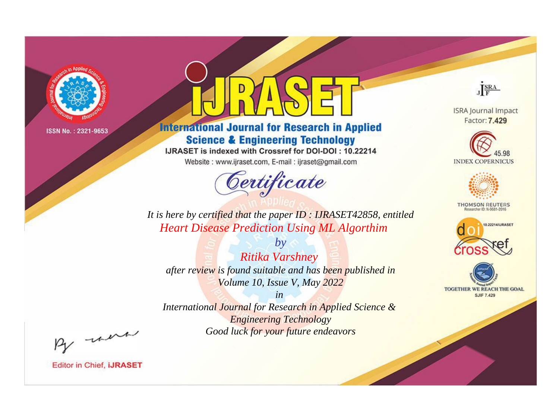

# **International Journal for Research in Applied Science & Engineering Technology**

IJRASET is indexed with Crossref for DOI-DOI: 10.22214

Website: www.ijraset.com, E-mail: ijraset@gmail.com



JERA

**ISRA Journal Impact** Factor: 7.429





**THOMSON REUTERS** 



TOGETHER WE REACH THE GOAL **SJIF 7.429** 

*It is here by certified that the paper ID : IJRASET42858, entitled Heart Disease Prediction Using ML Algorthim*

*by Ritika Varshney after review is found suitable and has been published in Volume 10, Issue V, May 2022*

*in* 

*International Journal for Research in Applied Science & Engineering Technology Good luck for your future endeavors*

By morn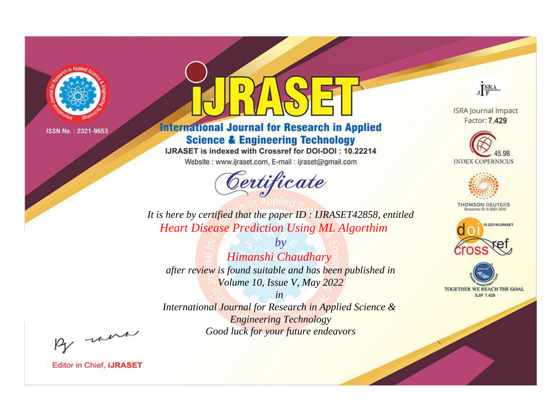

# **International Journal for Research in Applied Science & Engineering Technology**

IJRASET is indexed with Crossref for DOI-DOI: 10.22214

Website: www.ijraset.com, E-mail: ijraset@gmail.com



JERA

**ISRA Journal Impact** Factor: 7.429





**THOMSON REUTERS** 



TOGETHER WE REACH THE GOAL **SJIF 7.429** 

*It is here by certified that the paper ID : IJRASET42858, entitled Heart Disease Prediction Using ML Algorthim*

*by Himanshi Chaudhary after review is found suitable and has been published in Volume 10, Issue V, May 2022*

*in International Journal for Research in Applied Science &* 

*Engineering Technology Good luck for your future endeavors*

By morn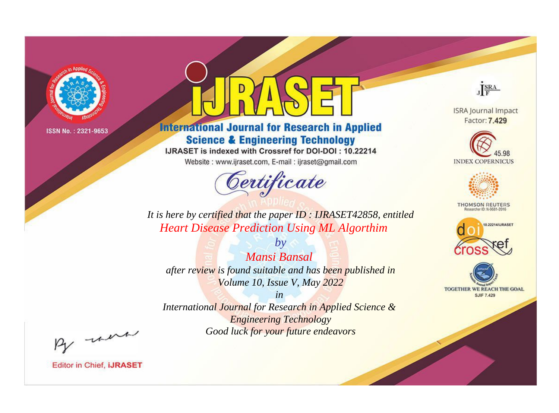

# **International Journal for Research in Applied Science & Engineering Technology**

IJRASET is indexed with Crossref for DOI-DOI: 10.22214

Website: www.ijraset.com, E-mail: ijraset@gmail.com



JERA

**ISRA Journal Impact** Factor: 7.429





**THOMSON REUTERS** 



TOGETHER WE REACH THE GOAL **SJIF 7.429** 

*It is here by certified that the paper ID : IJRASET42858, entitled Heart Disease Prediction Using ML Algorthim*

*by Mansi Bansal after review is found suitable and has been published in Volume 10, Issue V, May 2022*

*in* 

*International Journal for Research in Applied Science & Engineering Technology Good luck for your future endeavors*

By morn